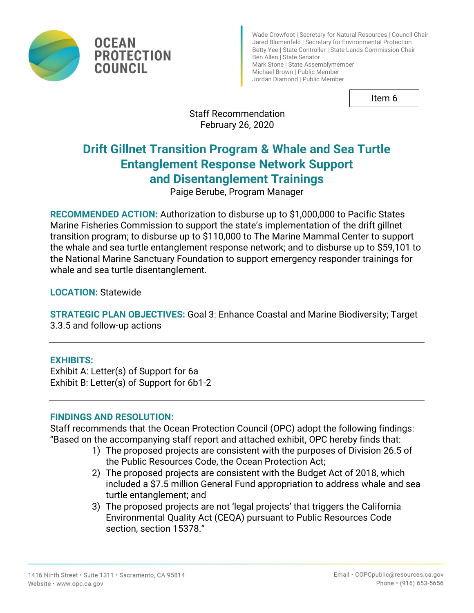

**OCEAN** 

**COUNCIL** 

**PROTECTION** 

Wade Crowfoot | Secretary for Natural Resources | Council Chair Jared Blumenfeld | Secretary for Environmental Protection Betty Yee | State Controller | State Lands Commission Chair Ben Allen | State Senator Mark Stone | State Assemblymember Michael Brown | Public Member Jordan Diamond | Public Member

Item 6

# Staff Recommendation February 26, 2020

# **Drift Gillnet Transition Program & Whale and Sea Turtle Entanglement Response Network Support and Disentanglement Trainings**

Paige Berube, Program Manager

**RECOMMENDED ACTION:** Authorization to disburse up to \$1,000,000 to Pacific States Marine Fisheries Commission to support the state's implementation of the drift gillnet transition program; to disburse up to \$110,000 to The Marine Mammal Center to support the whale and sea turtle entanglement response network; and to disburse up to \$59,101 to the National Marine Sanctuary Foundation to support emergency responder trainings for whale and sea turtle disentanglement.

**LOCATION:** Statewide

**STRATEGIC PLAN OBJECTIVES:** Goal 3: Enhance Coastal and Marine Biodiversity; Target 3.3.5 and follow-up actions

# **EXHIBITS:**

Exhibit A: Letter(s) of Support for 6a Exhibit B: Letter(s) of Support for 6b1-2

# **FINDINGS AND RESOLUTION:**

Staff recommends that the Ocean Protection Council (OPC) adopt the following findings: "Based on the accompanying staff report and attached exhibit, OPC hereby finds that:

- 1) The proposed projects are consistent with the purposes of Division 26.5 of the Public Resources Code, the Ocean Protection Act;
- 2) The proposed projects are consistent with the Budget Act of 2018, which included a \$7.5 million General Fund appropriation to address whale and sea turtle entanglement; and
- 3) The proposed projects are not 'legal projects' that triggers the California Environmental Quality Act (CEQA) pursuant to Public Resources Code section, section 15378."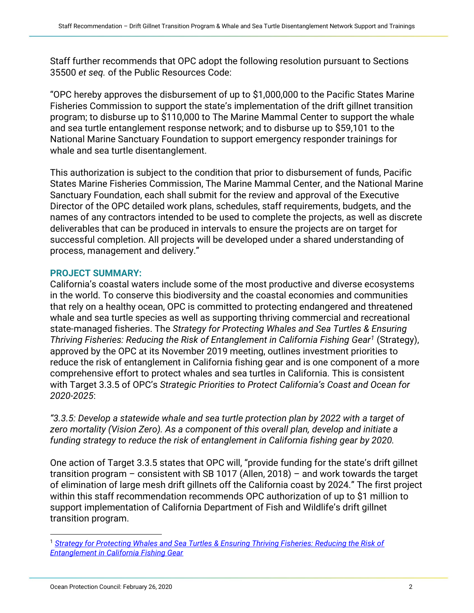Staff further recommends that OPC adopt the following resolution pursuant to Sections 35500 *et seq.* of the Public Resources Code:

"OPC hereby approves the disbursement of up to \$1,000,000 to the Pacific States Marine Fisheries Commission to support the state's implementation of the drift gillnet transition program; to disburse up to \$110,000 to The Marine Mammal Center to support the whale and sea turtle entanglement response network; and to disburse up to \$59,101 to the National Marine Sanctuary Foundation to support emergency responder trainings for whale and sea turtle disentanglement.

This authorization is subject to the condition that prior to disbursement of funds, Pacific States Marine Fisheries Commission, The Marine Mammal Center, and the National Marine Sanctuary Foundation, each shall submit for the review and approval of the Executive Director of the OPC detailed work plans, schedules, staff requirements, budgets, and the names of any contractors intended to be used to complete the projects, as well as discrete deliverables that can be produced in intervals to ensure the projects are on target for successful completion. All projects will be developed under a shared understanding of process, management and delivery."

# **PROJECT SUMMARY:**

California's coastal waters include some of the most productive and diverse ecosystems in the world. To conserve this biodiversity and the coastal economies and communities that rely on a healthy ocean, OPC is committed to protecting endangered and threatened whale and sea turtle species as well as supporting thriving commercial and recreational state-managed fisheries. The *Strategy for Protecting Whales and Sea Turtles & Ensuring Thriving Fisheries: Reducing the Risk of Entanglement in California Fishing Gear<sup>1</sup>* (Strategy), approved by the OPC at its November 2019 meeting, outlines investment priorities to reduce the risk of entanglement in California fishing gear and is one component of a more comprehensive effort to protect whales and sea turtles in California. This is consistent with Target 3.3.5 of OPC's *Strategic Priorities to Protect California's Coast and Ocean for 2020-2025*:

*"3.3.5: Develop a statewide whale and sea turtle protection plan by 2022 with a target of zero mortality (Vision Zero). As a component of this overall plan, develop and initiate a*  funding strategy to reduce the risk of entanglement in California fishing gear by 2020.

One action of Target 3.3.5 states that OPC will, "provide funding for the state's drift gillnet transition program – consistent with SB 1017 (Allen, 2018) – and work towards the target of elimination of large mesh drift gillnets off the California coast by 2024." The first project within this staff recommendation recommends OPC authorization of up to \$1 million to support implementation of California Department of Fish and Wildlife's drift gillnet transition program.

 $\overline{a}$ <sup>1</sup> *[Strategy for Protecting Whales and Sea Turtles & Ensuring Thriving Fisheries: Reducing the Risk of](file:///C:/Users/Paige.Berube/AppData/Local/Microsoft/Windows/INetCache/Content.Outlook/UER2TETA/Strategy%20for%20Protecting%20Whales%20and%20Sea%20Turtles%20&%20Ensuring%20Thriving%20Fisheries:%20Reducing%20the%20Risk%20of%20Entanglement%20in%20California%20Fishing%20Gear)  [Entanglement in California Fishing Gear](file:///C:/Users/Paige.Berube/AppData/Local/Microsoft/Windows/INetCache/Content.Outlook/UER2TETA/Strategy%20for%20Protecting%20Whales%20and%20Sea%20Turtles%20&%20Ensuring%20Thriving%20Fisheries:%20Reducing%20the%20Risk%20of%20Entanglement%20in%20California%20Fishing%20Gear)*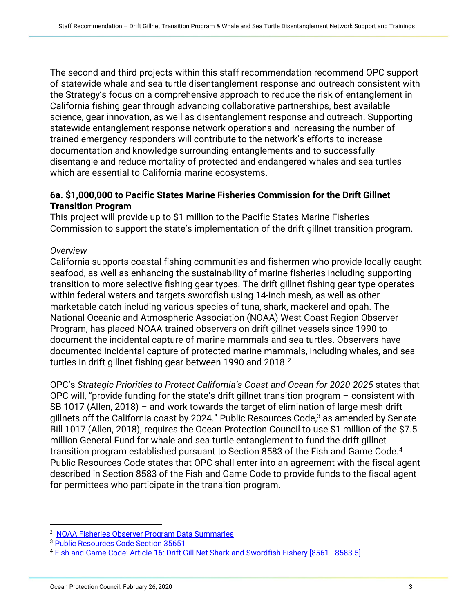The second and third projects within this staff recommendation recommend OPC support of statewide whale and sea turtle disentanglement response and outreach consistent with the Strategy's focus on a comprehensive approach to reduce the risk of entanglement in California fishing gear through advancing collaborative partnerships, best available science, gear innovation, as well as disentanglement response and outreach. Supporting statewide entanglement response network operations and increasing the number of trained emergency responders will contribute to the network's efforts to increase documentation and knowledge surrounding entanglements and to successfully disentangle and reduce mortality of protected and endangered whales and sea turtles which are essential to California marine ecosystems.

# **6a. \$1,000,000 to Pacific States Marine Fisheries Commission for the Drift Gillnet Transition Program**

This project will provide up to \$1 million to the Pacific States Marine Fisheries Commission to support the state's implementation of the drift gillnet transition program.

# *Overview*

California supports coastal fishing communities and fishermen who provide locally-caught seafood, as well as enhancing the sustainability of marine fisheries including supporting transition to more selective fishing gear types. The drift gillnet fishing gear type operates within federal waters and targets swordfish using 14-inch mesh, as well as other marketable catch including various species of tuna, shark, mackerel and opah. The National Oceanic and Atmospheric Association (NOAA) West Coast Region Observer Program, has placed NOAA-trained observers on drift gillnet vessels since 1990 to document the incidental capture of marine mammals and sea turtles. Observers have documented incidental capture of protected marine mammals, including whales, and sea turtles in drift gillnet fishing gear between 1990 and 2018.<sup>2</sup>

OPC's *Strategic Priorities to Protect California's Coast and Ocean for 2020-2025* states that OPC will, "provide funding for the state's drift gillnet transition program – consistent with SB 1017 (Allen, 2018) – and work towards the target of elimination of large mesh drift gillnets off the California coast by 2024." Public Resources Code,<sup>3</sup> as amended by Senate Bill 1017 (Allen, 2018), requires the Ocean Protection Council to use \$1 million of the \$7.5 million General Fund for whale and sea turtle entanglement to fund the drift gillnet transition program established pursuant to Section 8583 of the Fish and Game Code.<sup>4</sup> Public Resources Code states that OPC shall enter into an agreement with the fiscal agent described in Section 8583 of the Fish and Game Code to provide funds to the fiscal agent for permittees who participate in the transition program.

l

<sup>2</sup> [NOAA Fisheries Observer Program Data Summaries](https://www.fisheries.noaa.gov/west-coast/fisheries-observers/west-coast-region-observer-program#data-summaries-and-reports)

<sup>3</sup> [Public Resources Code Section 35651](http://leginfo.legislature.ca.gov/faces/codes_displayText.xhtml?lawCode=PRC&division=26.5.&title=&part=&chapter=4.&article) 

<sup>4</sup> [Fish and Game Code: Article 16: Drift Gill Net Shark and Swordfish Fishery \[8561 -](http://leginfo.legislature.ca.gov/faces/codes_displayText.xhtml?lawCode=FGC&division=6.&title=&part=3.&chapter=2.&article=16) 8583.5]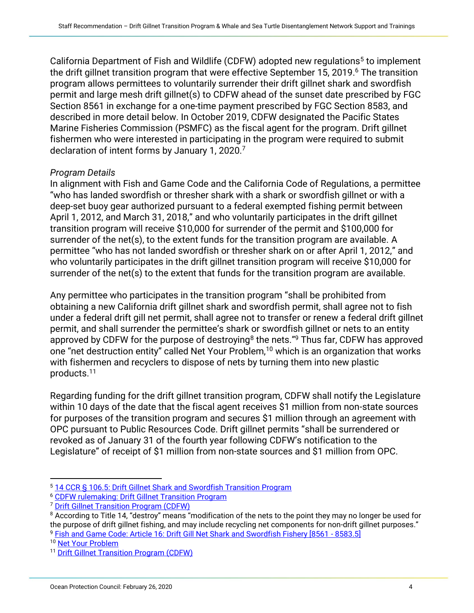California Department of Fish and Wildlife (CDFW) adopted new regulations<sup>5</sup> to implement the drift gillnet transition program that were effective September 15, 2019. <sup>6</sup> The transition program allows permittees to voluntarily surrender their drift gillnet shark and swordfish permit and large mesh drift gillnet(s) to CDFW ahead of the sunset date prescribed by FGC Section 8561 in exchange for a one-time payment prescribed by FGC Section 8583, and described in more detail below. In October 2019, CDFW designated the Pacific States Marine Fisheries Commission (PSMFC) as the fiscal agent for the program. Drift gillnet fishermen who were interested in participating in the program were required to submit declaration of intent forms by January 1, 2020.<sup>7</sup>

# *Program Details*

In alignment with Fish and Game Code and the California Code of Regulations, a permittee "who has landed swordfish or thresher shark with a shark or swordfish gillnet or with a deep-set buoy gear authorized pursuant to a federal exempted fishing permit between April 1, 2012, and March 31, 2018," and who voluntarily participates in the drift gillnet transition program will receive \$10,000 for surrender of the permit and \$100,000 for surrender of the net(s), to the extent funds for the transition program are available. A permittee "who has not landed swordfish or thresher shark on or after April 1, 2012," and who voluntarily participates in the drift gillnet transition program will receive \$10,000 for surrender of the net(s) to the extent that funds for the transition program are available.

Any permittee who participates in the transition program "shall be prohibited from obtaining a new California drift gillnet shark and swordfish permit, shall agree not to fish under a federal drift gill net permit, shall agree not to transfer or renew a federal drift gillnet permit, and shall surrender the permittee's shark or swordfish gillnet or nets to an entity approved by CDFW for the purpose of destroying<sup>8</sup> the nets."<sup>9</sup> Thus far, CDFW has approved one "net destruction entity" called Net Your Problem,<sup>10</sup> which is an organization that works with fishermen and recyclers to dispose of nets by turning them into new plastic products.<sup>11</sup>

Regarding funding for the drift gillnet transition program, CDFW shall notify the Legislature within 10 days of the date that the fiscal agent receives \$1 million from non-state sources for purposes of the transition program and secures \$1 million through an agreement with OPC pursuant to Public Resources Code. Drift gillnet permits "shall be surrendered or revoked as of January 31 of the fourth year following CDFW's notification to the Legislature" of receipt of \$1 million from non-state sources and \$1 million from OPC.

<sup>9</sup> [Fish and Game Code: Article 16: Drift Gill Net Shark and Swordfish Fishery \[8561 -](http://leginfo.legislature.ca.gov/faces/codes_displayText.xhtml?lawCode=FGC&division=6.&title=&part=3.&chapter=2.&article=16) 8583.5]

 $\overline{a}$ <sup>5</sup> [14 CCR § 106.5: Drift Gillnet Shark and Swordfish Transition Program](https://govt.westlaw.com/calregs/Document/I3FD5135767F342A8A8501D54A68CE25F?viewType=FullText&originationContext=documenttoc&transitionType=CategoryPageItem&contextData=(sc.Default)

<sup>6</sup> [CDFW rulemaking: Drift Gillnet Transition Program](https://wildlife.ca.gov/Notices/Regulations/DGN)

<sup>7</sup> [Drift Gillnet Transition Program \(CDFW\)](https://wildlife.ca.gov/conservation/marine/pelagic/DGN-Transition)

<sup>&</sup>lt;sup>8</sup> According to Title 14, "destroy" means "modification of the nets to the point they may no longer be used for the purpose of drift gillnet fishing, and may include recycling net components for non-drift gillnet purposes."

<sup>&</sup>lt;sup>10</sup> [Net Your Problem](https://www.netyourproblem.com/#/)

<sup>&</sup>lt;sup>11</sup> [Drift Gillnet Transition Program \(CDFW\)](https://wildlife.ca.gov/conservation/marine/pelagic/DGN-Transition)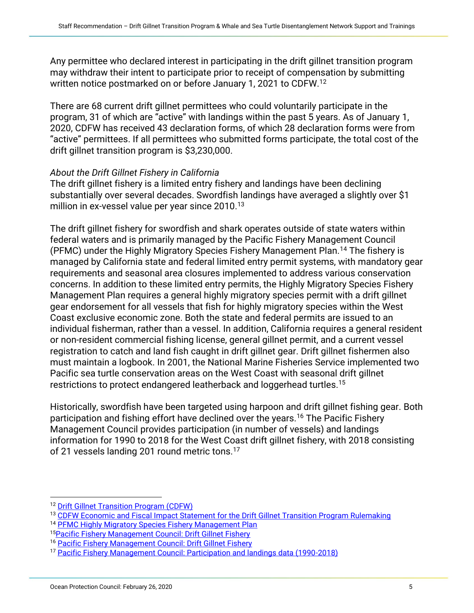Any permittee who declared interest in participating in the drift gillnet transition program may withdraw their intent to participate prior to receipt of compensation by submitting written notice postmarked on or before January 1, 2021 to CDFW.<sup>12</sup>

There are 68 current drift gillnet permittees who could voluntarily participate in the program, 31 of which are "active" with landings within the past 5 years. As of January 1, 2020, CDFW has received 43 declaration forms, of which 28 declaration forms were from "active" permittees. If all permittees who submitted forms participate, the total cost of the drift gillnet transition program is \$3,230,000.

# *About the Drift Gillnet Fishery in California*

The drift gillnet fishery is a limited entry fishery and landings have been declining substantially over several decades. Swordfish landings have averaged a slightly over \$1 million in ex-vessel value per year since 2010.<sup>13</sup>

The drift gillnet fishery for swordfish and shark operates outside of state waters within federal waters and is primarily managed by the Pacific Fishery Management Council (PFMC) under the Highly Migratory Species Fishery Management Plan.<sup>14</sup> The fishery is managed by California state and federal limited entry permit systems, with mandatory gear requirements and seasonal area closures implemented to address various conservation concerns. In addition to these limited entry permits, the Highly Migratory Species Fishery Management Plan requires a general highly migratory species permit with a drift gillnet gear endorsement for all vessels that fish for highly migratory species within the West Coast exclusive economic zone. Both the state and federal permits are issued to an individual fisherman, rather than a vessel. In addition, California requires a general resident or non-resident commercial fishing license, general gillnet permit, and a current vessel registration to catch and land fish caught in drift gillnet gear. Drift gillnet fishermen also must maintain a logbook. In 2001, the National Marine Fisheries Service implemented two Pacific sea turtle conservation areas on the West Coast with seasonal drift gillnet restrictions to protect endangered leatherback and loggerhead turtles.<sup>15</sup>

Historically, swordfish have been targeted using harpoon and drift gillnet fishing gear. Both participation and fishing effort have declined over the years.<sup>16</sup> The Pacific Fishery Management Council provides participation (in number of vessels) and landings information for 1990 to 2018 for the West Coast drift gillnet fishery, with 2018 consisting of 21 vessels landing 201 round metric tons.<sup>17</sup>

 $\overline{a}$ 

<sup>&</sup>lt;sup>12</sup> [Drift Gillnet Transition Program \(CDFW\)](https://wildlife.ca.gov/conservation/marine/pelagic/DGN-Transition)

<sup>&</sup>lt;sup>13</sup> CDFW Economic and Fiscal Impact Statement for the Drift Gillnet Transition Program Rulemaking

<sup>&</sup>lt;sup>14</sup> [PFMC Highly Migratory Species Fishery Management Plan](https://www.pcouncil.org/wp-content/uploads/2018/04/HMS_FMP_thru_A5_Apr18.pdf)

<sup>&</sup>lt;sup>15</sup> [Pacific Fishery Management Council: Drift Gillnet Fishery](https://www.pcouncil.org/highly-migratory-species/stock-assessment-and-fishery-evaluation-safe-documents/current-hms-safe-document/commercial-fisheries-descriptions/#dgn)

<sup>&</sup>lt;sup>16</sup> [Pacific Fishery Management Council: Drift Gillnet Fishery](https://www.pcouncil.org/highly-migratory-species/stock-assessment-and-fishery-evaluation-safe-documents/current-hms-safe-document/commercial-fisheries-descriptions/#dgn)

<sup>&</sup>lt;sup>17</sup> [Pacific Fishery Management Council: Participation and landings data \(1990-2018\)](http://www.pcouncil.org/wp-content/uploads/HMS-SAFE-Table-12.htm)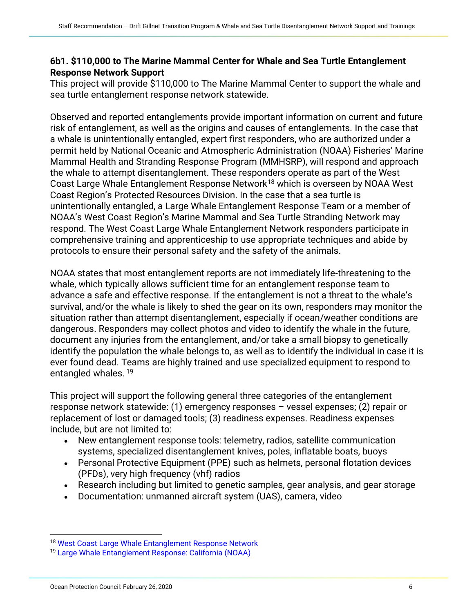# **6b1. \$110,000 to The Marine Mammal Center for Whale and Sea Turtle Entanglement Response Network Support**

This project will provide \$110,000 to The Marine Mammal Center to support the whale and sea turtle entanglement response network statewide.

Observed and reported entanglements provide important information on current and future risk of entanglement, as well as the origins and causes of entanglements. In the case that a whale is unintentionally entangled, expert first responders, who are authorized under a permit held by National Oceanic and Atmospheric Administration (NOAA) Fisheries' Marine Mammal Health and Stranding Response Program (MMHSRP), will respond and approach the whale to attempt disentanglement. These responders operate as part of the West Coast Large Whale Entanglement Response Network<sup>18</sup> which is overseen by NOAA West Coast Region's Protected Resources Division. In the case that a sea turtle is unintentionally entangled, a Large Whale Entanglement Response Team or a member of NOAA's West Coast Region's Marine Mammal and Sea Turtle Stranding Network may respond. The West Coast Large Whale Entanglement Network responders participate in comprehensive training and apprenticeship to use appropriate techniques and abide by protocols to ensure their personal safety and the safety of the animals.

NOAA states that most entanglement reports are not immediately life-threatening to the whale, which typically allows sufficient time for an entanglement response team to advance a safe and effective response. If the entanglement is not a threat to the whale's survival, and/or the whale is likely to shed the gear on its own, responders may monitor the situation rather than attempt disentanglement, especially if ocean/weather conditions are dangerous. Responders may collect photos and video to identify the whale in the future, document any injuries from the entanglement, and/or take a small biopsy to genetically identify the population the whale belongs to, as well as to identify the individual in case it is ever found dead. Teams are highly trained and use specialized equipment to respond to entangled whales. 19

This project will support the following general three categories of the entanglement response network statewide: (1) emergency responses – vessel expenses; (2) repair or replacement of lost or damaged tools; (3) readiness expenses. Readiness expenses include, but are not limited to:

- New entanglement response tools: telemetry, radios, satellite communication systems, specialized disentanglement knives, poles, inflatable boats, buoys
- Personal Protective Equipment (PPE) such as helmets, personal flotation devices (PFDs), very high frequency (vhf) radios
- Research including but limited to genetic samples, gear analysis, and gear storage
- Documentation: unmanned aircraft system (UAS), camera, video

 $\overline{a}$ 18 [West Coast Large Whale Entanglement Response Network](https://www.fisheries.noaa.gov/west-coast/marine-mammal-protection/west-coast-large-whale-entanglement-response-program)

<sup>&</sup>lt;sup>19</sup> [Large Whale Entanglement Response: California \(NOAA\)](http://www.opc.ca.gov/webmaster/ftp/pdf/whale-entanglement/P5-Aug-20-Whale-Entanglement-Discussion-NMFS-entanglement-response-presentation.pdf)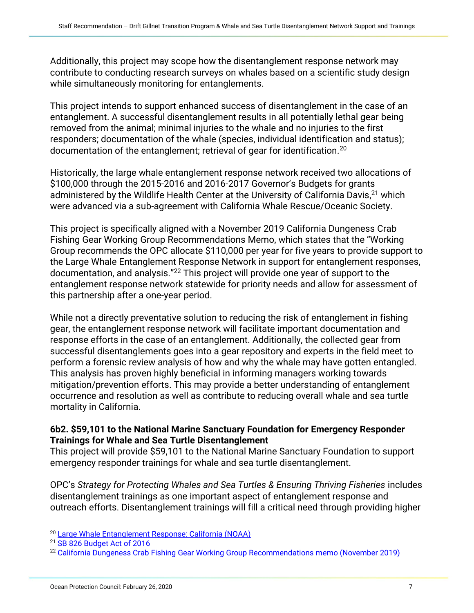Additionally, this project may scope how the disentanglement response network may contribute to conducting research surveys on whales based on a scientific study design while simultaneously monitoring for entanglements.

This project intends to support enhanced success of disentanglement in the case of an entanglement. A successful disentanglement results in all potentially lethal gear being removed from the animal; minimal injuries to the whale and no injuries to the first responders; documentation of the whale (species, individual identification and status); documentation of the entanglement; retrieval of gear for identification.<sup>20</sup>

Historically, the large whale entanglement response network received two allocations of \$100,000 through the 2015-2016 and 2016-2017 Governor's Budgets for grants administered by the Wildlife Health Center at the University of California Davis,<sup>21</sup> which were advanced via a sub-agreement with California Whale Rescue/Oceanic Society.

This project is specifically aligned with a November 2019 California Dungeness Crab Fishing Gear Working Group Recommendations Memo, which states that the "Working Group recommends the OPC allocate \$110,000 per year for five years to provide support to the Large Whale Entanglement Response Network in support for entanglement responses, documentation, and analysis."<sup>22</sup> This project will provide one year of support to the entanglement response network statewide for priority needs and allow for assessment of this partnership after a one-year period.

While not a directly preventative solution to reducing the risk of entanglement in fishing gear, the entanglement response network will facilitate important documentation and response efforts in the case of an entanglement. Additionally, the collected gear from successful disentanglements goes into a gear repository and experts in the field meet to perform a forensic review analysis of how and why the whale may have gotten entangled. This analysis has proven highly beneficial in informing managers working towards mitigation/prevention efforts. This may provide a better understanding of entanglement occurrence and resolution as well as contribute to reducing overall whale and sea turtle mortality in California.

# **6b2. \$59,101 to the National Marine Sanctuary Foundation for Emergency Responder Trainings for Whale and Sea Turtle Disentanglement**

This project will provide \$59,101 to the National Marine Sanctuary Foundation to support emergency responder trainings for whale and sea turtle disentanglement.

OPC's *Strategy for Protecting Whales and Sea Turtles & Ensuring Thriving Fisheries* includes disentanglement trainings as one important aspect of entanglement response and outreach efforts. Disentanglement trainings will fill a critical need through providing higher

 $\overline{a}$ 

<sup>20</sup> [Large Whale Entanglement Response: California \(NOAA\)](http://www.opc.ca.gov/webmaster/ftp/pdf/whale-entanglement/P5-Aug-20-Whale-Entanglement-Discussion-NMFS-entanglement-response-presentation.pdf)

<sup>21</sup> [SB 826 Budget Act of 2016](https://leginfo.legislature.ca.gov/faces/billTextClient.xhtml?bill_id=201520160SB826)

<sup>&</sup>lt;sup>22</sup> [California Dungeness Crab Fishing Gear Working Group Recommendations memo \(November 2019\)](http://www.opc.ca.gov/webmaster/_media_library/2019/11/CAWhaleWorkingGroup_HighlightsRecommendationsMemo_SeptOct2019_FINAL.pdf)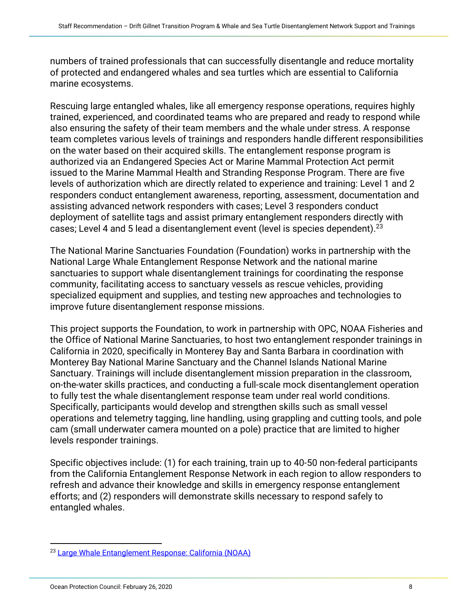numbers of trained professionals that can successfully disentangle and reduce mortality of protected and endangered whales and sea turtles which are essential to California marine ecosystems.

Rescuing large entangled whales, like all emergency response operations, requires highly trained, experienced, and coordinated teams who are prepared and ready to respond while also ensuring the safety of their team members and the whale under stress. A response team completes various levels of trainings and responders handle different responsibilities on the water based on their acquired skills. The entanglement response program is authorized via an Endangered Species Act or Marine Mammal Protection Act permit issued to the Marine Mammal Health and Stranding Response Program. There are five levels of authorization which are directly related to experience and training: Level 1 and 2 responders conduct entanglement awareness, reporting, assessment, documentation and assisting advanced network responders with cases; Level 3 responders conduct deployment of satellite tags and assist primary entanglement responders directly with cases; Level 4 and 5 lead a disentanglement event (level is species dependent).<sup>23</sup>

The National Marine Sanctuaries Foundation (Foundation) works in partnership with the National Large Whale Entanglement Response Network and the national marine sanctuaries to support whale disentanglement trainings for coordinating the response community, facilitating access to sanctuary vessels as rescue vehicles, providing specialized equipment and supplies, and testing new approaches and technologies to improve future disentanglement response missions.

This project supports the Foundation, to work in partnership with OPC, NOAA Fisheries and the Office of National Marine Sanctuaries, to host two entanglement responder trainings in California in 2020, specifically in Monterey Bay and Santa Barbara in coordination with Monterey Bay National Marine Sanctuary and the Channel Islands National Marine Sanctuary. Trainings will include disentanglement mission preparation in the classroom, on-the-water skills practices, and conducting a full-scale mock disentanglement operation to fully test the whale disentanglement response team under real world conditions. Specifically, participants would develop and strengthen skills such as small vessel operations and telemetry tagging, line handling, using grappling and cutting tools, and pole cam (small underwater camera mounted on a pole) practice that are limited to higher levels responder trainings.

Specific objectives include: (1) for each training, train up to 40-50 non-federal participants from the California Entanglement Response Network in each region to allow responders to refresh and advance their knowledge and skills in emergency response entanglement efforts; and (2) responders will demonstrate skills necessary to respond safely to entangled whales.

 $\overline{a}$ <sup>23</sup> [Large Whale Entanglement Response: California \(NOAA\)](http://www.opc.ca.gov/webmaster/ftp/pdf/whale-entanglement/P5-Aug-20-Whale-Entanglement-Discussion-NMFS-entanglement-response-presentation.pdf)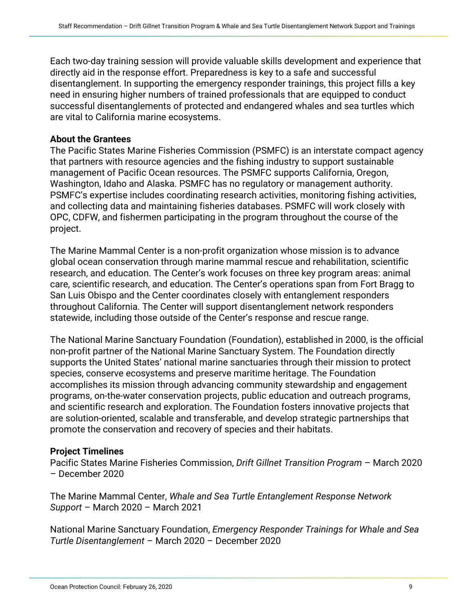Each two-day training session will provide valuable skills development and experience that directly aid in the response effort. Preparedness is key to a safe and successful disentanglement. In supporting the emergency responder trainings, this project fills a key need in ensuring higher numbers of trained professionals that are equipped to conduct successful disentanglements of protected and endangered whales and sea turtles which are vital to California marine ecosystems.

#### **About the Grantees**

The Pacific States Marine Fisheries Commission (PSMFC) is an interstate compact agency that partners with resource agencies and the fishing industry to support sustainable management of Pacific Ocean resources. The PSMFC supports California, Oregon, Washington, Idaho and Alaska. PSMFC has no regulatory or management authority. PSMFC's expertise includes coordinating research activities, monitoring fishing activities, and collecting data and maintaining fisheries databases. PSMFC will work closely with OPC, CDFW, and fishermen participating in the program throughout the course of the project.

The Marine Mammal Center is a non-profit organization whose mission is to advance global ocean conservation through marine mammal rescue and rehabilitation, scientific research, and education. The Center's work focuses on three key program areas: animal care, scientific research, and education. The Center's operations span from Fort Bragg to San Luis Obispo and the Center coordinates closely with entanglement responders throughout California. The Center will support disentanglement network responders statewide, including those outside of the Center's response and rescue range.

The National Marine Sanctuary Foundation (Foundation), established in 2000, is the official non-profit partner of the National Marine Sanctuary System. The Foundation directly supports the United States' national marine sanctuaries through their mission to protect species, conserve ecosystems and preserve maritime heritage. The Foundation accomplishes its mission through advancing community stewardship and engagement programs, on-the-water conservation projects, public education and outreach programs, and scientific research and exploration. The Foundation fosters innovative projects that are solution-oriented, scalable and transferable, and develop strategic partnerships that promote the conservation and recovery of species and their habitats.

## **Project Timelines**

Pacific States Marine Fisheries Commission, *Drift Gillnet Transition Program* – March 2020 – December 2020

The Marine Mammal Center, *Whale and Sea Turtle Entanglement Response Network Support* – March 2020 – March 2021

National Marine Sanctuary Foundation, *Emergency Responder Trainings for Whale and Sea Turtle Disentanglement* – March 2020 – December 2020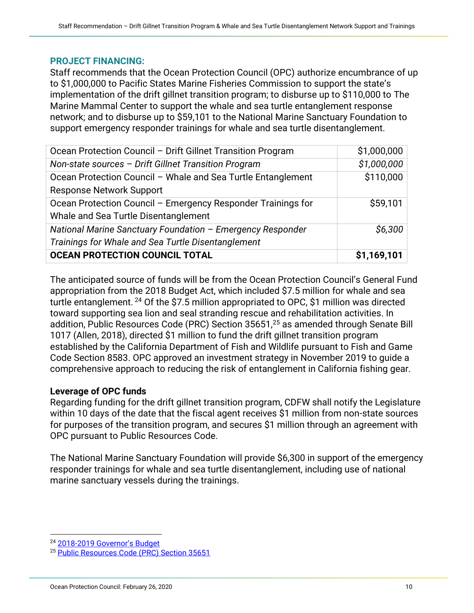#### **PROJECT FINANCING:**

Staff recommends that the Ocean Protection Council (OPC) authorize encumbrance of up to \$1,000,000 to Pacific States Marine Fisheries Commission to support the state's implementation of the drift gillnet transition program; to disburse up to \$110,000 to The Marine Mammal Center to support the whale and sea turtle entanglement response network; and to disburse up to \$59,101 to the National Marine Sanctuary Foundation to support emergency responder trainings for whale and sea turtle disentanglement.

| Ocean Protection Council - Drift Gillnet Transition Program  | \$1,000,000 |
|--------------------------------------------------------------|-------------|
| Non-state sources - Drift Gillnet Transition Program         | \$1,000,000 |
| Ocean Protection Council - Whale and Sea Turtle Entanglement | \$110,000   |
| <b>Response Network Support</b>                              |             |
| Ocean Protection Council - Emergency Responder Trainings for | \$59,101    |
| Whale and Sea Turtle Disentanglement                         |             |
| National Marine Sanctuary Foundation - Emergency Responder   | \$6,300     |
| Trainings for Whale and Sea Turtle Disentanglement           |             |
| <b>OCEAN PROTECTION COUNCIL TOTAL</b>                        | \$1,169,101 |

The anticipated source of funds will be from the Ocean Protection Council's General Fund appropriation from the 2018 Budget Act, which included \$7.5 million for whale and sea turtle entanglement. <sup>24</sup> Of the \$7.5 million appropriated to OPC, \$1 million was directed toward supporting sea lion and seal stranding rescue and rehabilitation activities. In addition, Public Resources Code (PRC) Section 35651,<sup>25</sup> as amended through Senate Bill 1017 (Allen, 2018), directed \$1 million to fund the drift gillnet transition program established by the California Department of Fish and Wildlife pursuant to Fish and Game Code Section 8583. OPC approved an investment strategy in November 2019 to guide a comprehensive approach to reducing the risk of entanglement in California fishing gear.

## **Leverage of OPC funds**

Regarding funding for the drift gillnet transition program, CDFW shall notify the Legislature within 10 days of the date that the fiscal agent receives \$1 million from non-state sources for purposes of the transition program, and secures \$1 million through an agreement with OPC pursuant to Public Resources Code.

The National Marine Sanctuary Foundation will provide \$6,300 in support of the emergency responder trainings for whale and sea turtle disentanglement, including use of national marine sanctuary vessels during the trainings.

 $\overline{a}$ 

<sup>&</sup>lt;sup>24</sup> 2018-[2019 Governor's Budget](http://www.ebudget.ca.gov/2018-19/pdf/Enacted/GovernorsBudget/0010/0540.pdf)

<sup>&</sup>lt;sup>25</sup> [Public Resources Code \(PRC\) Section 35651](http://leginfo.legislature.ca.gov/faces/codes_displayText.xhtml?lawCode=PRC&division=26.5.&title=&part=&chapter=4.&article=)